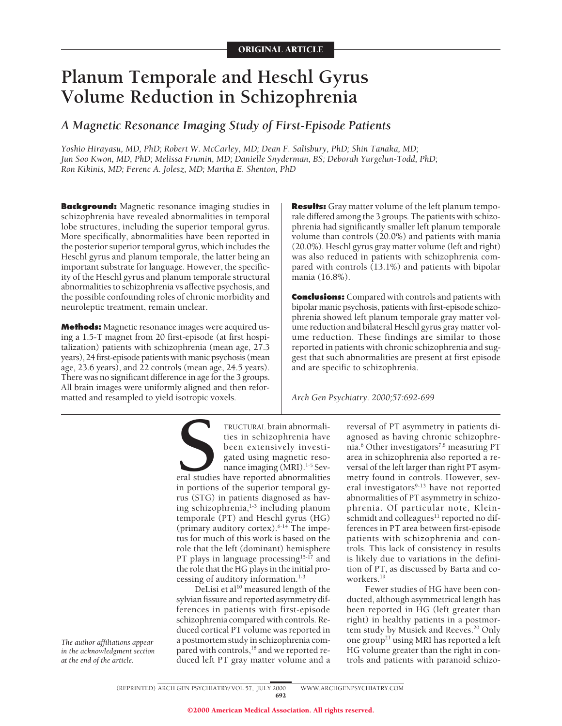# **Planum Temporale and Heschl Gyrus Volume Reduction in Schizophrenia**

*A Magnetic Resonance Imaging Study of First-Episode Patients*

*Yoshio Hirayasu, MD, PhD; Robert W. McCarley, MD; Dean F. Salisbury, PhD; Shin Tanaka, MD; Jun Soo Kwon, MD, PhD; Melissa Frumin, MD; Danielle Snyderman, BS; Deborah Yurgelun-Todd, PhD; Ron Kikinis, MD; Ferenc A. Jolesz, MD; Martha E. Shenton, PhD*

**Background:** Magnetic resonance imaging studies in schizophrenia have revealed abnormalities in temporal lobe structures, including the superior temporal gyrus. More specifically, abnormalities have been reported in the posterior superior temporal gyrus, which includes the Heschl gyrus and planum temporale, the latter being an important substrate for language. However, the specificity of the Heschl gyrus and planum temporale structural abnormalities to schizophrenia vs affective psychosis, and the possible confounding roles of chronic morbidity and neuroleptic treatment, remain unclear.

**Methods:** Magnetic resonance images were acquired using a 1.5-T magnet from 20 first-episode (at first hospitalization) patients with schizophrenia (mean age, 27.3 years), 24 first-episode patients with manic psychosis (mean age, 23.6 years), and 22 controls (mean age, 24.5 years). There was no significant difference in age for the 3 groups. All brain images were uniformly aligned and then reformatted and resampled to yield isotropic voxels.

**Results:** Gray matter volume of the left planum temporale differed among the 3 groups. The patients with schizophrenia had significantly smaller left planum temporale volume than controls (20.0%) and patients with mania (20.0%). Heschl gyrus gray matter volume (left and right) was also reduced in patients with schizophrenia compared with controls (13.1%) and patients with bipolar mania (16.8%).

**Conclusions:** Compared with controls and patients with bipolar manic psychosis, patients with first-episode schizophrenia showed left planum temporale gray matter volume reduction and bilateral Heschl gyrus gray matter volume reduction. These findings are similar to those reported in patients with chronic schizophrenia and suggest that such abnormalities are present at first episode and are specific to schizophrenia.

*Arch Gen Psychiatry. 2000;57:692-699*

TRUCTURAL brain abnormalities in schizophrenia have<br>been extensively investigated using magnetic reso-<br>nance imaging (MRI).<sup>1-5</sup> Sev-<br>eral studies have reported abnormalities<br>in portions of the superior temporal gyties in schizophrenia have been extensively investigated using magnetic resonance imaging (MRI).<sup>1-5</sup> Several studies have reported abnormalities in portions of the superior temporal gyrus (STG) in patients diagnosed as having schizophrenia, $1-3$  including planum temporale (PT) and Heschl gyrus (HG) (primary auditory cortex). $6-14$  The impetus for much of this work is based on the role that the left (dominant) hemisphere PT plays in language processing<sup>15-17</sup> and the role that the HG plays in the initial processing of auditory information.<sup>1-3</sup>

DeLisi et al<sup>10</sup> measured length of the sylvian fissure and reported asymmetry differences in patients with first-episode schizophrenia compared with controls. Reduced cortical PT volume was reported in a postmortem study in schizophrenia compared with controls,<sup>18</sup> and we reported reduced left PT gray matter volume and a reversal of PT asymmetry in patients diagnosed as having chronic schizophrenia.<sup>6</sup> Other investigators<sup>7,8</sup> measuring PT area in schizophrenia also reported a reversal of the left larger than right PT asymmetry found in controls. However, several investigators<sup>9-13</sup> have not reported abnormalities of PT asymmetry in schizophrenia. Of particular note, Kleinschmidt and colleagues<sup>11</sup> reported no differences in PT area between first-episode patients with schizophrenia and controls. This lack of consistency in results is likely due to variations in the definition of PT, as discussed by Barta and coworkers.19

Fewer studies of HG have been conducted, although asymmetrical length has been reported in HG (left greater than right) in healthy patients in a postmortem study by Musiek and Reeves.<sup>20</sup> Only one group<sup>21</sup> using MRI has reported a left HG volume greater than the right in controls and patients with paranoid schizo-

(REPRINTED) ARCH GEN PSYCHIATRY/ VOL 57, JULY 2000 WWW.ARCHGENPSYCHIATRY.COM 692

*The author affiliations appear in the acknowledgment section at the end of the article.*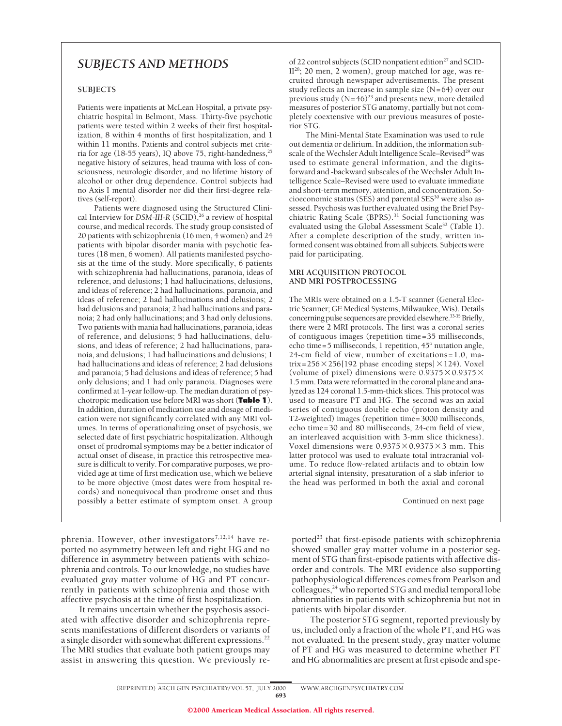## *SUBJECTS AND METHODS*

## **SUBJECTS**

Patients were inpatients at McLean Hospital, a private psychiatric hospital in Belmont, Mass. Thirty-five psychotic patients were tested within 2 weeks of their first hospitalization, 8 within 4 months of first hospitalization, and 1 within 11 months. Patients and control subjects met criteria for age (18-55 years), IQ above 75, right-handedness,<sup>25</sup> negative history of seizures, head trauma with loss of consciousness, neurologic disorder, and no lifetime history of alcohol or other drug dependence. Control subjects had no Axis I mental disorder nor did their first-degree relatives (self-report).

Patients were diagnosed using the Structured Clinical Interview for *DSM-III-R* (SCID),<sup>26</sup> a review of hospital course, and medical records. The study group consisted of 20 patients with schizophrenia (16 men, 4 women) and 24 patients with bipolar disorder mania with psychotic features (18 men, 6 women). All patients manifested psychosis at the time of the study. More specifically, 6 patients with schizophrenia had hallucinations, paranoia, ideas of reference, and delusions; 1 had hallucinations, delusions, and ideas of reference; 2 had hallucinations, paranoia, and ideas of reference; 2 had hallucinations and delusions; 2 had delusions and paranoia; 2 had hallucinations and paranoia; 2 had only hallucinations; and 3 had only delusions. Two patients with mania had hallucinations, paranoia, ideas of reference, and delusions; 5 had hallucinations, delusions, and ideas of reference; 2 had hallucinations, paranoia, and delusions; 1 had hallucinations and delusions; 1 had hallucinations and ideas of reference; 2 had delusions and paranoia; 5 had delusions and ideas of reference; 5 had only delusions; and 1 had only paranoia. Diagnoses were confirmed at 1-year follow-up. The median duration of psychotropic medication use before MRI was short (**Table 1**). In addition, duration of medication use and dosage of medication were not significantly correlated with any MRI volumes. In terms of operationalizing onset of psychosis, we selected date of first psychiatric hospitalization. Although onset of prodromal symptoms may be a better indicator of actual onset of disease, in practice this retrospective measure is difficult to verify. For comparative purposes, we provided age at time of first medication use, which we believe to be more objective (most dates were from hospital records) and nonequivocal than prodrome onset and thus possibly a better estimate of symptom onset. A group

phrenia. However, other investigators<sup>7,12,14</sup> have reported no asymmetry between left and right HG and no difference in asymmetry between patients with schizophrenia and controls. To our knowledge, no studies have evaluated *gray* matter volume of HG and PT concurrently in patients with schizophrenia and those with affective psychosis at the time of first hospitalization.

It remains uncertain whether the psychosis associated with affective disorder and schizophrenia represents manifestations of different disorders or variants of a single disorder with somewhat different expressions.<sup>22</sup> The MRI studies that evaluate both patient groups may assist in answering this question. We previously reof 22 control subjects (SCID nonpatient edition<sup>27</sup> and SCID-II28; 20 men, 2 women), group matched for age, was recruited through newspaper advertisements. The present study reflects an increase in sample size (N=64) over our previous study  $(N=46)^{23}$  and presents new, more detailed measures of posterior STG anatomy, partially but not completely coextensive with our previous measures of posterior STG.

The Mini-Mental State Examination was used to rule out dementia or delirium. In addition, the information subscale of the Wechsler Adult Intelligence Scale–Revised<sup>29</sup> was used to estimate general information, and the digitsforward and -backward subscales of the Wechsler Adult Intelligence Scale–Revised were used to evaluate immediate and short-term memory, attention, and concentration. Socioeconomic status (SES) and parental SES<sup>30</sup> were also assessed. Psychosis was further evaluated using the Brief Psychiatric Rating Scale (BPRS).<sup>31</sup> Social functioning was evaluated using the Global Assessment Scale<sup>32</sup> (Table 1). After a complete description of the study, written informed consent was obtained from all subjects. Subjects were paid for participating.

#### **MRI ACQUISITION PROTOCOL AND MRI POSTPROCESSING**

The MRIs were obtained on a 1.5-T scanner (General Electric Scanner; GE Medical Systems, Milwaukee, Wis). Details concerning pulse sequences are provided elsewhere.<sup>33-35</sup> Briefly, there were 2 MRI protocols. The first was a coronal series of contiguous images (repetition time=35 milliseconds, echo time=5 milliseconds, 1 repetition, 45° nutation angle, 24-cm field of view, number of excitations=1.0, matrix=256 $\times$ 256[192 phase encoding steps] $\times$ 124). Voxel (volume of pixel) dimensions were  $0.9375\times0.9375\times$ 1.5 mm. Data were reformatted in the coronal plane and analyzed as 124 coronal 1.5-mm-thick slices. This protocol was used to measure PT and HG. The second was an axial series of contiguous double echo (proton density and T2-weighted) images (repetition time=3000 milliseconds, echo time=30 and 80 milliseconds, 24-cm field of view, an interleaved acquisition with 3-mm slice thickness). Voxel dimensions were  $0.9375\times0.9375\times3$  mm. This latter protocol was used to evaluate total intracranial volume. To reduce flow-related artifacts and to obtain low arterial signal intensity, presaturation of a slab inferior to the head was performed in both the axial and coronal

Continued on next page

ported<sup>23</sup> that first-episode patients with schizophrenia showed smaller gray matter volume in a posterior segment of STG than first-episode patients with affective disorder and controls. The MRI evidence also supporting pathophysiological differences comes from Pearlson and colleagues,<sup>24</sup> who reported STG and medial temporal lobe abnormalities in patients with schizophrenia but not in patients with bipolar disorder.

The posterior STG segment, reported previously by us, included only a fraction of the whole PT, and HG was not evaluated. In the present study, gray matter volume of PT and HG was measured to determine whether PT and HG abnormalities are present at first episode and spe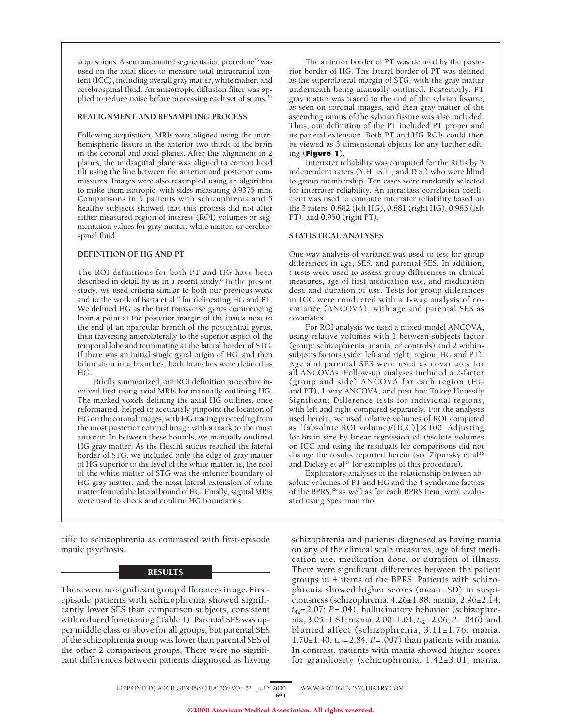acquisitions. A semiautomated segmentation procedure<sup>33</sup> was used on the axial slices to measure total intracranial content (ICC), including overall gray matter, white matter, and cerebrospinal fluid. An anisotropic diffusion filter was applied to reduce noise before processing each set of scans.<sup>35</sup>

#### **REALIGNMENT AND RESAMPLING PROCESS**

Following acquisition, MRIs were aligned using the interhemispheric fissure in the anterior two thirds of the brain in the coronal and axial planes. After this alignment in 2 planes, the midsagittal plane was aligned to correct head tilt using the line between the anterior and posterior commissures. Images were also resampled using an algorithm to make them isotropic, with sides measuring 0.9375 mm. Comparisons in 5 patients with schizophrenia and 5 healthy subjects showed that this process did not alter either measured region of interest (ROI) volumes or segmentation values for gray matter, white matter, or cerebrospinal fluid.

#### **DEFINITION OF HG AND PT**

The ROI definitions for both PT and HG have been described in detail by us in a recent study.<sup>6</sup> In the present study, we used criteria similar to both our previous work and to the work of Barta et al<sup>19</sup> for delineating HG and PT. We defined HG as the first transverse gyrus commencing from a point at the posterior margin of the insula next to the end of an opercular branch of the postcentral gyrus, then traversing anterolaterally to the superior aspect of the temporal lobe and terminating at the lateral border of STG. If there was an initial single gyral origin of HG, and then bifurcation into branches, both branches were defined as HG.

Briefly summarized, our ROI definition procedure involved first using axial MRIs for manually outlining HG. The marked voxels defining the axial HG outlines, once reformatted, helped to accurately pinpoint the location of HG on the coronal images, with HG tracing proceeding from the most posterior coronal image with a mark to the most anterior. In between these bounds, we manually outlined HG gray matter. As the Heschl sulcus reached the lateral border of STG, we included only the edge of gray matter of HG superior to the level of the white matter, ie, the roof of the white matter of STG was the inferior boundary of HG gray matter, and the most lateral extension of white matter formed the lateral bound of HG. Finally, sagittal MRIs were used to check and confirm HG boundaries.

cific to schizophrenia as contrasted with first-episode manic psychosis.

#### **RESULTS**

There were no significant group differences in age. Firstepisode patients with schizophrenia showed significantly lower SES than comparison subjects, consistent with reduced functioning (Table 1). Parental SES was upper middle class or above for all groups, but parental SES of the schizophrenia group was lower than parental SES of the other 2 comparison groups. There were no significant differences between patients diagnosed as having

The anterior border of PT was defined by the posterior border of HG. The lateral border of PT was defined as the superolateral margin of STG, with the gray matter underneath being manually outlined. Posteriorly, PT gray matter was traced to the end of the sylvian fissure, as seen on coronal images, and then gray matter of the ascending ramus of the sylvian fissure was also included. Thus, our definition of the PT included PT proper and its parietal extension. Both PT and HG ROIs could then be viewed as 3-dimensional objects for any further editing (**Figure 1**).

Interrater reliability was computed for the ROIs by 3 independent raters (Y.H., S.T., and D.S.) who were blind to group membership. Ten cases were randomly selected for interrater reliability. An intraclass correlation coefficient was used to compute interrater reliability based on the 3 raters: 0.882 (left HG), 0.881 (right HG), 0.985 (left PT), and 0.950 (right PT).

#### **STATISTICAL ANALYSES**

One-way analysis of variance was used to test for group differences in age, SES, and parental SES. In addition, *t* tests were used to assess group differences in clinical measures, age of first medication use, and medication dose and duration of use. Tests for group differences in ICC were conducted with a 1-way analysis of covariance (ANCOVA), with age and parental SES as covariates.

For ROI analysis we used a mixed-model ANCOVA, using relative volumes with 1 between-subjects factor (group: schizophrenia, mania, or controls) and 2 withinsubjects factors (side: left and right; region: HG and PT). Age and parental SES were used as covariates for all ANCOVAs. Follow-up analyses included a 2-factor (group and side) ANCOVA for each region (HG and PT), 1-way ANCOVA, and post hoc Tukey Honestly Significant Difference tests for individual regions, with left and right compared separately. For the analyses used herein, we used relative volumes of ROI computed as [(absolute ROI volume)/(ICC)]  $\times$  100. Adjusting for brain size by linear regression of absolute volumes on ICC and using the residuals for comparisons did not change the results reported herein (see Zipursky et al<sup>36</sup> and Dickey et al<sup>37</sup> for examples of this procedure).

Exploratory analyses of the relationship between absolute volumes of PT and HG and the 4 syndrome factors of the BPRS,<sup>38</sup> as well as for each BPRS item, were evaluated using Spearman rho.

schizophrenia and patients diagnosed as having mania on any of the clinical scale measures, age of first medication use, medication dose, or duration of illness. There were significant differences between the patient groups in 4 items of the BPRS. Patients with schizophrenia showed higher scores (mean±SD) in suspiciousness (schizophrenia, 4.26±1.88; mania, 2.96±2.14; *t*42=2.07; *P*=.04), hallucinatory behavior (schizophrenia, 3.05±1.81; mania, 2.00±1.01; *t*42=2.06; *P*=.046), and blunted affect (schizophrenia, 3.11±1.76; mania, 1.70±1.40; *t*42=2.84; *P*=.007) than patients with mania. In contrast, patients with mania showed higher scores for grandiosity (schizophrenia, 1.42±3.01; mania,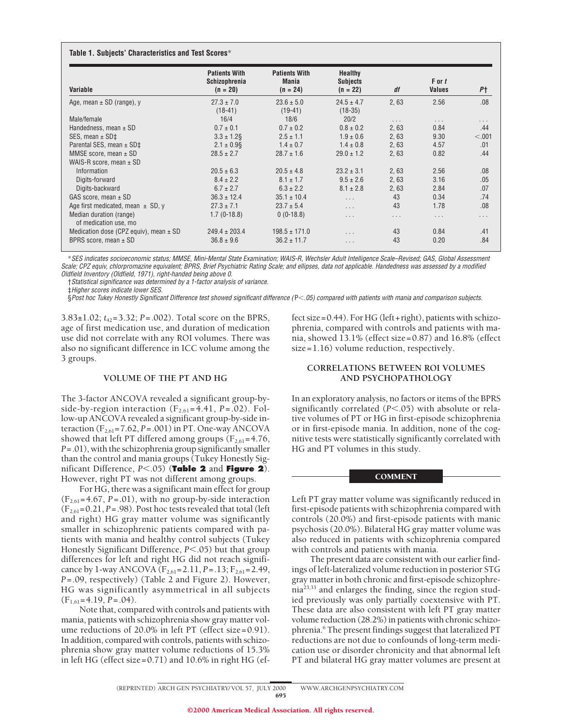| Variable                                         | <b>Patients With</b><br><b>Schizophrenia</b><br>$(n = 20)$ | <b>Patients With</b><br><b>Mania</b><br>$(n = 24)$ | <b>Healthy</b><br><b>Subjects</b><br>$(n = 22)$ | df       | $F$ or $t$<br><b>Values</b> | P†       |
|--------------------------------------------------|------------------------------------------------------------|----------------------------------------------------|-------------------------------------------------|----------|-----------------------------|----------|
| Age, mean $\pm$ SD (range), y                    | $27.3 \pm 7.0$                                             | $23.6 \pm 5.0$                                     | $24.5 \pm 4.7$                                  | 2,63     | 2.56                        | .08      |
| Male/female                                      | $(18-41)$<br>16/4                                          | $(19-41)$<br>18/6                                  | $(18-35)$<br>20/2                               |          |                             |          |
|                                                  |                                                            |                                                    |                                                 | $\cdots$ | $\cdots$                    | .        |
| Handedness, mean $\pm$ SD                        | $0.7 \pm 0.1$                                              | $0.7 \pm 0.2$                                      | $0.8 \pm 0.2$                                   | 2,63     | 0.84                        | .44      |
| SES, mean $\pm$ SD $\ddagger$                    | $3.3 \pm 1.2$ §                                            | $2.5 \pm 1.1$                                      | $1.9 \pm 0.6$                                   | 2,63     | 9.30                        | < .001   |
| Parental SES, mean ± SD‡                         | $2.1 \pm 0.9$ §                                            | $1.4 \pm 0.7$                                      | $1.4 \pm 0.8$                                   | 2,63     | 4.57                        | .01      |
| MMSE score, mean $\pm$ SD                        | $28.5 \pm 2.7$                                             | $28.7 \pm 1.6$                                     | $29.0 \pm 1.2$                                  | 2,63     | 0.82                        | .44      |
| WAIS-R score, mean $\pm$ SD                      |                                                            |                                                    |                                                 |          |                             |          |
| Information                                      | $20.5 \pm 6.3$                                             | $20.5 \pm 4.8$                                     | $23.2 \pm 3.1$                                  | 2,63     | 2.56                        | .08      |
| Digits-forward                                   | $8.4 \pm 2.2$                                              | $8.1 \pm 1.7$                                      | $9.5 \pm 2.6$                                   | 2,63     | 3.16                        | .05      |
| Digits-backward                                  | $6.7 \pm 2.7$                                              | $6.3 \pm 2.2$                                      | $8.1 \pm 2.8$                                   | 2,63     | 2.84                        | .07      |
| GAS score, mean $\pm$ SD                         | $36.3 \pm 12.4$                                            | $35.1 \pm 10.4$                                    | .                                               | 43       | 0.34                        | .74      |
| Age first medicated, mean $\pm$ SD, y            | $27.3 \pm 7.1$                                             | $23.7 \pm 5.4$                                     | .                                               | 43       | 1.78                        | .08      |
| Median duration (range)<br>of medication use, mo | $1.7(0-18.8)$                                              | $0(0-18.8)$                                        | .                                               | $\cdots$ | $\cdot$ $\cdot$ $\cdot$     | $\cdots$ |
| Medication dose (CPZ equiv), mean $\pm$ SD       | $249.4 \pm 203.4$                                          | $198.5 \pm 171.0$                                  | $\cdots$                                        | 43       | 0.84                        | .41      |
| BPRS score, mean $\pm$ SD                        | $36.8 \pm 9.6$                                             | $36.2 \pm 11.7$                                    | .                                               | 43       | 0.20                        | .84      |

\*SES indicates socioeconomic status; MMSE, Mini-Mental State Examination; WAIS-R, Wechsler Adult Intelligence Scale–Revised; GAS, Global Assessment Scale; CPZ equiv, chlorpromazine equivalent; BPRS, Brief Psychiatric Rating Scale; and ellipses, data not applicable. Handedness was assessed by <sup>a</sup> modified Oldfield Inventory (Oldfield, 1971), right-handed being above 0.

†Statistical significance was determined by <sup>a</sup> 1-factor analysis of variance.

‡Higher scores indicate lower SES.

§Post hoc Tukey Honestly Significant Difference test showed significant difference (P<.05) compared with patients with mania and comparison subjects.

3.83±1.02; *t*42=3.32; *P*=.002). Total score on the BPRS, age of first medication use, and duration of medication use did not correlate with any ROI volumes. There was also no significant difference in ICC volume among the 3 groups.

#### **VOLUME OF THE PT AND HG**

The 3-factor ANCOVA revealed a significant group-byside-by-region interaction  $(F_{2,61} = 4.41, P = .02)$ . Follow-up ANCOVA revealed a significant group-by-side interaction  $(F_{2,61} = 7.62, P = .001)$  in PT. One-way ANCOVA showed that left PT differed among groups  $(F_{2,61}=4.76,$ *P*=.01), with the schizophrenia group significantly smaller than the control and mania groups (Tukey Honestly Significant Difference, *P*,.05) (**Table 2** and **Figure 2**). However, right PT was not different among groups.

For HG, there was a significant main effect for group  $(F_{2,61} = 4.67, P = .01)$ , with no group-by-side interaction  $(F_{2,61}=0.21, P=.98)$ . Post hoc tests revealed that total (left and right) HG gray matter volume was significantly smaller in schizophrenic patients compared with patients with mania and healthy control subjects (Tukey Honestly Significant Difference, *P*<.05) but that group differences for left and right HG did not reach significance by 1-way ANCOVA (F<sub>2,61</sub>=2.11, *P*=.13; F<sub>2,61</sub>=2.49, *P*=.09, respectively) (Table 2 and Figure 2). However, HG was significantly asymmetrical in all subjects  $(F<sub>1,61</sub>=4.19, P=.04).$ 

Note that, compared with controls and patients with mania, patients with schizophrenia show gray matter volume reductions of 20.0% in left PT (effect size=0.91). In addition, compared with controls, patients with schizophrenia show gray matter volume reductions of 15.3% in left HG (effect size=0.71) and 10.6% in right HG (effect size=0.44). For HG (left+right), patients with schizophrenia, compared with controls and patients with mania, showed 13.1% (effect size=0.87) and 16.8% (effect size=1.16) volume reduction, respectively.

## **CORRELATIONS BETWEEN ROI VOLUMES AND PSYCHOPATHOLOGY**

In an exploratory analysis, no factors or items of the BPRS significantly correlated  $(P<.05)$  with absolute or relative volumes of PT or HG in first-episode schizophrenia or in first-episode mania. In addition, none of the cognitive tests were statistically significantly correlated with HG and PT volumes in this study.

#### **COMMENT**

Left PT gray matter volume was significantly reduced in first-episode patients with schizophrenia compared with controls (20.0%) and first-episode patients with manic psychosis (20.0%). Bilateral HG gray matter volume was also reduced in patients with schizophrenia compared with controls and patients with mania.

The present data are consistent with our earlier findings of left-lateralized volume reduction in posterior STG gray matter in both chronic and first-episode schizophre- $\text{nia}^{23,33}$  and enlarges the finding, since the region studied previously was only partially coextensive with PT. These data are also consistent with left PT gray matter volume reduction (28.2%) in patients with chronic schizophrenia.<sup>6</sup> The present findings suggest that lateralized PT reductions are not due to confounds of long-term medication use or disorder chronicity and that abnormal left PT and bilateral HG gray matter volumes are present at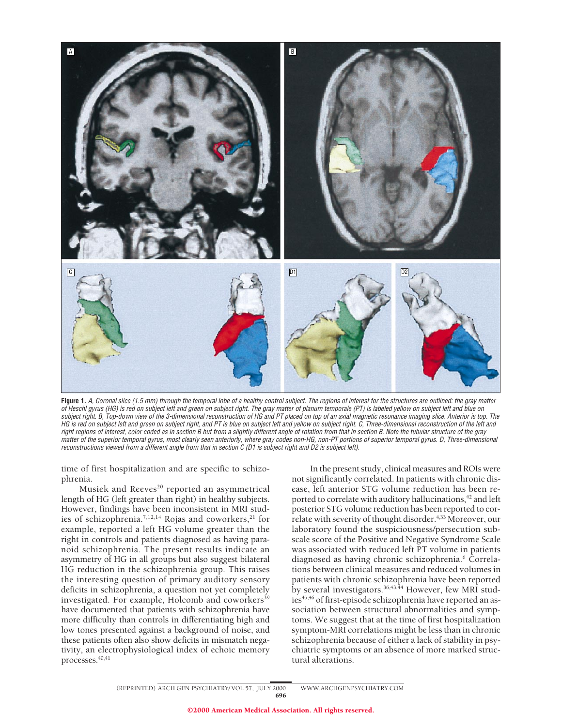

**Figure 1.** A, Coronal slice (1.5 mm) through the temporal lobe of <sup>a</sup> healthy control subject. The regions of interest for the structures are outlined: the gray matter of Heschl gyrus (HG) is red on subject left and green on subject right. The gray matter of planum temporale (PT) is labeled yellow on subject left and blue on subject right. B, Top-down view of the 3-dimensional reconstruction of HG and PT placed on top of an axial magnetic resonance imaging slice. Anterior is top. The HG is red on subject left and green on subject right, and PT is blue on subject left and yellow on subject right. C, Three-dimensional reconstruction of the left and right regions of interest, color coded as in section B but from <sup>a</sup> slightly different angle of rotation from that in section B. Note the tubular structure of the gray matter of the superior temporal gyrus, most clearly seen anteriorly, where gray codes non-HG, non-PT portions of superior temporal gyrus. D, Three-dimensional reconstructions viewed from <sup>a</sup> different angle from that in section C (D1 is subject right and D2 is subject left).

time of first hospitalization and are specific to schizophrenia.

Musiek and Reeves<sup>20</sup> reported an asymmetrical length of HG (left greater than right) in healthy subjects. However, findings have been inconsistent in MRI studies of schizophrenia.<sup>7,12,14</sup> Rojas and coworkers,<sup>21</sup> for example, reported a left HG volume greater than the right in controls and patients diagnosed as having paranoid schizophrenia. The present results indicate an asymmetry of HG in all groups but also suggest bilateral HG reduction in the schizophrenia group. This raises the interesting question of primary auditory sensory deficits in schizophrenia, a question not yet completely investigated. For example, Holcomb and coworkers<sup>39</sup> have documented that patients with schizophrenia have more difficulty than controls in differentiating high and low tones presented against a background of noise, and these patients often also show deficits in mismatch negativity, an electrophysiological index of echoic memory processes.<sup>40,41</sup>

In the present study, clinical measures and ROIs were not significantly correlated. In patients with chronic disease, left anterior STG volume reduction has been reported to correlate with auditory hallucinations,<sup>42</sup> and left posterior STG volume reduction has been reported to correlate with severity of thought disorder.<sup>4,33</sup> Moreover, our laboratory found the suspiciousness/persecution subscale score of the Positive and Negative Syndrome Scale was associated with reduced left PT volume in patients diagnosed as having chronic schizophrenia.<sup>6</sup> Correlations between clinical measures and reduced volumes in patients with chronic schizophrenia have been reported by several investigators.<sup>36,43,44</sup> However, few MRI studies<sup>45,46</sup> of first-episode schizophrenia have reported an association between structural abnormalities and symptoms. We suggest that at the time of first hospitalization symptom-MRI correlations might be less than in chronic schizophrenia because of either a lack of stability in psychiatric symptoms or an absence of more marked structural alterations.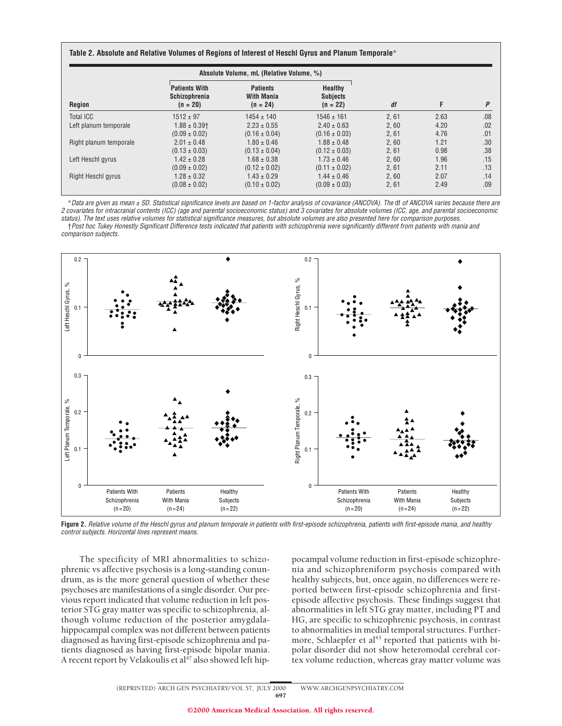| Region                 | Absolute Volume, mL (Relative Volume, %)                   |                                                    |                                                 |      |      |     |
|------------------------|------------------------------------------------------------|----------------------------------------------------|-------------------------------------------------|------|------|-----|
|                        | <b>Patients With</b><br><b>Schizophrenia</b><br>$(n = 20)$ | <b>Patients</b><br><b>With Mania</b><br>$(n = 24)$ | <b>Healthy</b><br><b>Subjects</b><br>$(n = 22)$ | df   | F    | P   |
| Total ICC              | $1512 \pm 97$                                              | $1454 \pm 140$                                     | $1546 \pm 161$                                  | 2,61 | 2.63 | .08 |
| Left planum temporale  | $1.88 \pm 0.39$ <sup>+</sup>                               | $2.23 \pm 0.55$                                    | $2.40 \pm 0.63$                                 | 2.60 | 4.20 | .02 |
|                        | $(0.09 \pm 0.02)$                                          | $(0.16 \pm 0.04)$                                  | $(0.16 \pm 0.03)$                               | 2,61 | 4.76 | .01 |
| Right planum temporale | $2.01 \pm 0.48$                                            | $1.80 \pm 0.46$                                    | $1.88 \pm 0.48$                                 | 2,60 | 1.21 | .30 |
|                        | $(0.13 \pm 0.03)$                                          | $(0.13 \pm 0.04)$                                  | $(0.12 \pm 0.03)$                               | 2,61 | 0.98 | .38 |
| Left Heschl gyrus      | $1.42 \pm 0.28$                                            | $1.68 \pm 0.38$                                    | $1.73 \pm 0.46$                                 | 2,60 | 1.96 | .15 |
|                        | $(0.09 \pm 0.02)$                                          | $(0.12 \pm 0.02)$                                  | $(0.11 \pm 0.02)$                               | 2,61 | 2.11 | .13 |
| Right Heschl gyrus     | $1.28 \pm 0.32$                                            | $1.43 \pm 0.29$                                    | $1.44 \pm 0.46$                                 | 2.60 | 2.07 | .14 |
|                        | $(0.08 \pm 0.02)$                                          | $(0.10 \pm 0.02)$                                  | $(0.09 \pm 0.03)$                               | 2,61 | 2.49 | .09 |

\*Data are given as mean <sup>±</sup> SD. Statistical significance levels are based on 1-factor analysis of covariance (ANCOVA). The df of ANCOVA varies because there are 2 covariates for intracranial contents (ICC) (age and parental socioeconomic status) and 3 covariates for absolute volumes (ICC, age, and parental socioeconomic status). The text uses relative volumes for statistical significance measures, but absolute volumes are also presented here for comparison purposes. †Post hoc Tukey Honestly Significant Difference tests indicated that patients with schizophrenia were significantly different from patients with mania and comparison subjects.



**Figure 2.** Relative volume of the Heschl gyrus and planum temporale in patients with first-episode schizophrenia, patients with first-episode mania, and healthy control subjects. Horizontal lines represent means.

The specificity of MRI abnormalities to schizophrenic vs affective psychosis is a long-standing conundrum, as is the more general question of whether these psychoses are manifestations of a single disorder. Our previous report indicated that volume reduction in left posterior STG gray matter was specific to schizophrenia, although volume reduction of the posterior amygdalahippocampal complex was not different between patients diagnosed as having first-episode schizophrenia and patients diagnosed as having first-episode bipolar mania. A recent report by Velakoulis et al<sup>47</sup> also showed left hippocampal volume reduction in first-episode schizophrenia and schizophreniform psychosis compared with healthy subjects, but, once again, no differences were reported between first-episode schizophrenia and firstepisode affective psychosis. These findings suggest that abnormalities in left STG gray matter, including PT and HG, are specific to schizophrenic psychosis, in contrast to abnormalities in medial temporal structures. Furthermore, Schlaepfer et al<sup>43</sup> reported that patients with bipolar disorder did not show heteromodal cerebral cortex volume reduction, whereas gray matter volume was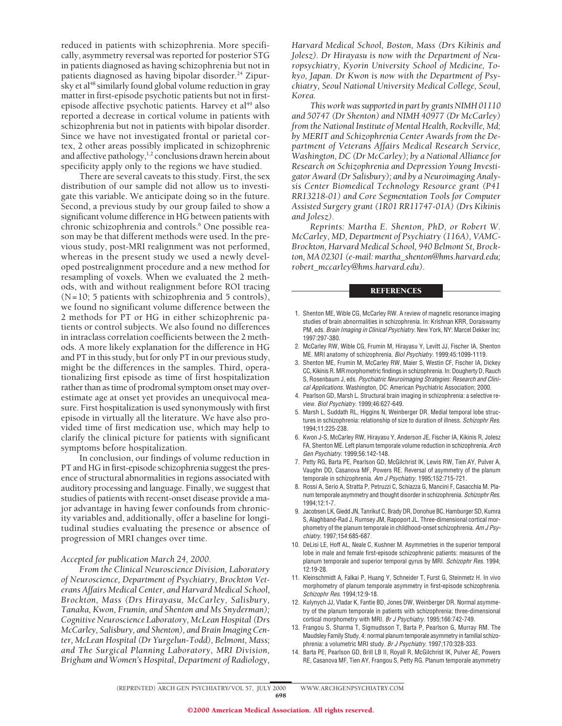reduced in patients with schizophrenia. More specifically, asymmetry reversal was reported for posterior STG in patients diagnosed as having schizophrenia but not in patients diagnosed as having bipolar disorder.<sup>24</sup> Zipursky et al<sup>48</sup> similarly found global volume reduction in gray matter in first-episode psychotic patients but not in firstepisode affective psychotic patients. Harvey et al<sup>49</sup> also reported a decrease in cortical volume in patients with schizophrenia but not in patients with bipolar disorder. Since we have not investigated frontal or parietal cortex, 2 other areas possibly implicated in schizophrenic and affective pathology, $1,2$  conclusions drawn herein about specificity apply only to the regions we have studied.

There are several caveats to this study. First, the sex distribution of our sample did not allow us to investigate this variable. We anticipate doing so in the future. Second, a previous study by our group failed to show a significant volume difference in HG between patients with chronic schizophrenia and controls.<sup>6</sup> One possible reason may be that different methods were used. In the previous study, post-MRI realignment was not performed, whereas in the present study we used a newly developed postrealignment procedure and a new method for resampling of voxels. When we evaluated the 2 methods, with and without realignment before ROI tracing (N=10; 5 patients with schizophrenia and 5 controls), we found no significant volume difference between the 2 methods for PT or HG in either schizophrenic patients or control subjects. We also found no differences in intraclass correlation coefficients between the 2 methods. A more likely explanation for the difference in HG and PT in this study, but for only PT in our previous study, might be the differences in the samples. Third, operationalizing first episode as time of first hospitalization rather than as time of prodromal symptom onset may overestimate age at onset yet provides an unequivocal measure. First hospitalization is used synonymously with first episode in virtually all the literature. We have also provided time of first medication use, which may help to clarify the clinical picture for patients with significant symptoms before hospitalization.

In conclusion, our findings of volume reduction in PT and HG in first-episode schizophrenia suggest the presence of structural abnormalities in regions associated with auditory processing and language. Finally, we suggest that studies of patients with recent-onset disease provide a major advantage in having fewer confounds from chronicity variables and, additionally, offer a baseline for longitudinal studies evaluating the presence or absence of progression of MRI changes over time.

### *Accepted for publication March 24, 2000.*

*From the Clinical Neuroscience Division, Laboratory of Neuroscience, Department of Psychiatry, Brockton Veterans Affairs Medical Center, and Harvard Medical School, Brockton, Mass (Drs Hirayasu, McCarley, Salisbury, Tanaka, Kwon, Frumin, and Shenton and Ms Snyderman); Cognitive Neuroscience Laboratory, McLean Hospital (Drs McCarley, Salisbury, and Shenton), and Brain Imaging Center, McLean Hospital (Dr Yurgelun-Todd), Belmont, Mass; and The Surgical Planning Laboratory, MRI Division, Brigham and Women's Hospital, Department of Radiology,*

*Harvard Medical School, Boston, Mass (Drs Kikinis and Jolesz). Dr Hirayasu is now with the Department of Neuropsychiatry, Kyorin University School of Medicine, Tokyo, Japan. Dr Kwon is now with the Department of Psychiatry, Seoul National University Medical College, Seoul, Korea.*

*This work was supported in part by grants NIMH 01110 and 50747 (Dr Shenton) and NIMH 40977 (Dr McCarley) from the National Institute of Mental Health, Rockville, Md; by MERIT and Schizophrenia Center Awards from the Department of Veterans Affairs Medical Research Service, Washington, DC (Dr McCarley); by a National Alliance for Research on Schizophrenia and Depression Young Investigator Award (Dr Salisbury); and by a Neuroimaging Analysis Center Biomedical Technology Resource grant (P41 RR13218-01) and Core Segmentation Tools for Computer Assisted Surgery grant (1R01 RR11747-01A) (Drs Kikinis and Jolesz).*

*Reprints: Martha E. Shenton, PhD, or Robert W. McCarley, MD, Department of Psychiatry (116A), VAMC-Brockton, Harvard Medical School, 940 Belmont St, Brockton, MA 02301 (e-mail: martha\_shenton@hms.harvard.edu; robert\_mccarley@hms.harvard.edu).*

#### **REFERENCES**

- 1. Shenton ME, Wible CG, McCarley RW. A review of magnetic resonance imaging studies of brain abnormalities in schizophrenia. In: Krishnan KRR, Doraiswamy PM, eds. Brain Imaging in Clinical Psychiatry. New York, NY: Marcel Dekker Inc; 1997:297-380.
- 2. McCarley RW, Wible CG, Frumin M, Hirayasu Y, Levitt JJ, Fischer IA, Shenton ME. MRI anatomy of schizophrenia. Biol Psychiatry. 1999;45:1099-1119.
- 3. Shenton ME, Frumin M, McCarley RW, Maier S, Westin CF, Fischer IA, Dickey CC, Kikinis R. MR morphometric findings in schizophrenia. In: Dougherty D, Rauch S, Rosenbaum J, eds. Psychiatric Neuroimaging Strategies: Research and Clinical Applications. Washington, DC: American Psychiatric Association; 2000.
- 4. Pearlson GD, Marsh L. Structural brain imaging in schizophrenia: a selective review. Biol Psychiatry. 1999;46:627-649.
- 5. Marsh L, Suddath RL, Higgins N, Weinberger DR. Medial temporal lobe structures in schizophrenia: relationship of size to duration of illness. Schizophr Res. 1994;11:225-238.
- 6. Kwon J-S, McCarley RW, Hirayasu Y, Anderson JE, Fischer IA, Kikinis R, Jolesz FA, Shenton ME. Left planum temporale volume reduction in schizophrenia. Arch Gen Psychiatry. 1999;56:142-148.
- 7. Petty RG, Barta PE, Pearlson GD, McGilchrist IK, Lewis RW, Tien AY, Pulver A, Vaughn DD, Casanova MF, Powers RE. Reversal of asymmetry of the planum temporale in schizophrenia. Am J Psychiatry. 1995;152:715-721.
- 8. Rossi A, Serio A, Stratta P, Petruzzi C, Schiazza G, Mancini F, Casacchia M. Planum temporale asymmetry and thought disorder in schizophrenia. Schizophr Res. 1994;12:1-7.
- 9. Jacobsen LK, Giedd JN, Tanrikut C, Brady DR, Donohue BC, Hamburger SD, Kumra S, Alaghband-Rad J, Rumsey JM, Rapoport JL. Three-dimensional cortical morphometry of the planum temporale in childhood-onset schizophrenia. Am J Psychiatry. 1997;154:685-687.
- 10. DeLisi LE, Hoff AL, Neale C, Kushner M. Asymmetries in the superior temporal lobe in male and female first-episode schizophrenic patients: measures of the planum temporale and superior temporal gyrus by MRI. Schizophr Res. 1994; 12:19-28.
- 11. Kleinschmidt A, Falkai P, Huang Y, Schneider T, Furst G, Steinmetz H. In vivo morphometry of planum temporale asymmetry in first-episode schizophrenia. Schizophr Res. 1994;12:9-18.
- 12. Kulynych JJ, Vladar K, Fantie BD, Jones DW, Weinberger DR. Normal asymmetry of the planum temporale in patients with schizophrenia: three-dimensional cortical morphometry with MRI. Br J Psychiatry. 1995;166:742-749.
- 13. Frangou S, Sharma T, Sigmudsson T, Barta P, Pearlson G, Murray RM. The Maudsley Family Study, 4: normal planum temporale asymmetry in familial schizophrenia: a volumetric MRI study. Br J Psychiatry. 1997;170:328-333.
- 14. Barta PE, Pearlson GD, Brill LB II, Royall R, McGilchrist IK, Pulver AE, Powers RE, Casanova MF, Tien AY, Frangou S, Petty RG. Planum temporale asymmetry